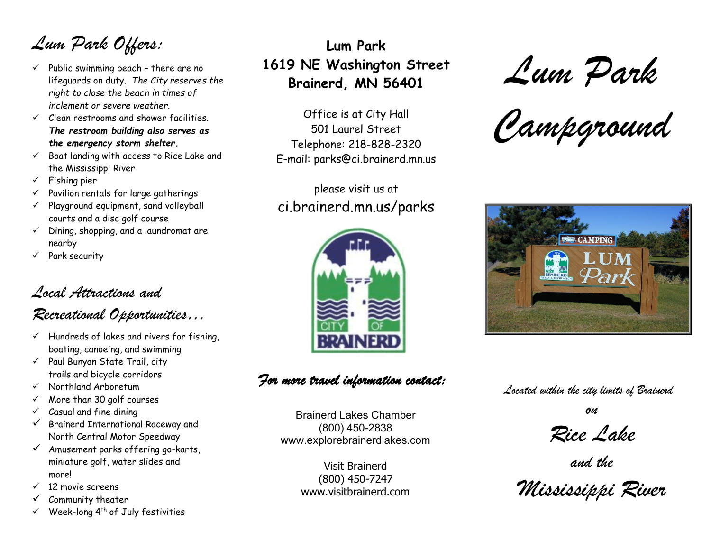*Lum Park Offers:*

- $\checkmark$  Public swimming beach there are no lifeguards on duty*. The City reserves the right to close the beach in times of inclement or severe weather.*
- $\checkmark$  Clean restrooms and shower facilities. *The restroom building also serves as the emergency storm shelter.*
- $\checkmark$  Boat landing with access to Rice Lake and the Mississippi River
- $\checkmark$  Fishing pier
- $\checkmark$  Pavilion rentals for large gatherings
- $\checkmark$  Playground equipment, sand volleyball courts and a disc golf course
- $\checkmark$  Dining, shopping, and a laundromat are nearby
- $\checkmark$  Park security

## *Local Attractions and*

### *Recreational Opportunities…*

- $\checkmark$  Hundreds of lakes and rivers for fishing, boating, canoeing, and swimming
- $\checkmark$  Paul Bunyan State Trail, city trails and bicycle corridors
- $\checkmark$  Northland Arboretum
- $\checkmark$  More than 30 golf courses
- $\checkmark$  Casual and fine dining
- $\checkmark$  Brainerd International Raceway and North Central Motor Speedway
- $\checkmark$  Amusement parks offering go-karts, miniature golf, water slides and more!
- $\checkmark$  12 movie screens
- $\checkmark$  Community theater
- $\checkmark$  Week-long 4<sup>th</sup> of July festivities

# **Lum Park 1619 NE Washington Street Brainerd, MN 56401**

Office is at City Hall 501 Laurel Street Telephone: 218-828-2320 E-mail: [parks@ci.brainerd.mn.us](mailto:parks@ci.brainerd.mn.us)

please visit us at ci.brainerd.mn.us/parks



*For more travel information contact:* 

Brainerd Lakes Chamber (800) 450-2838 [www.explorebrainerdlakes.com](http://www.explorebrainerdlakes.com/)

> Visit Brainerd (800) 450-7247 [www.visitbrainerd.com](http://www.visitbrainerd.com/)

*Lum Park*

*Campground*



*Located within the city limits of Brainerd*

*on*

*Rice Lake*

*and the*

*Mississippi River*